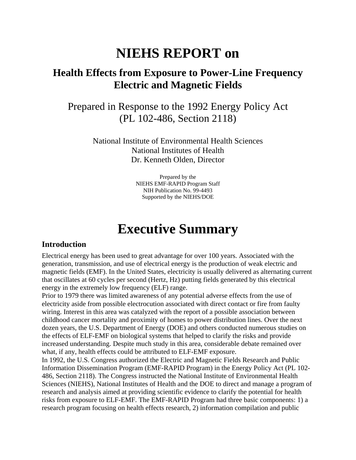# **NIEHS REPORT on**

# **Health Effects from Exposure to Power-Line Frequency Electric and Magnetic Fields**

Prepared in Response to the 1992 Energy Policy Act (PL 102-486, Section 2118)

> National Institute of Environmental Health Sciences National Institutes of Health Dr. Kenneth Olden, Director

> > Prepared by the NIEHS EMF-RAPID Program Staff NIH Publication No. 99-4493 Supported by the NIEHS/DOE

# **Executive Summary**

#### **Introduction**

Electrical energy has been used to great advantage for over 100 years. Associated with the generation, transmission, and use of electrical energy is the production of weak electric and magnetic fields (EMF). In the United States, electricity is usually delivered as alternating current that oscillates at 60 cycles per second (Hertz, Hz) putting fields generated by this electrical energy in the extremely low frequency (ELF) range.

Prior to 1979 there was limited awareness of any potential adverse effects from the use of electricity aside from possible electrocution associated with direct contact or fire from faulty wiring. Interest in this area was catalyzed with the report of a possible association between childhood cancer mortality and proximity of homes to power distribution lines. Over the next dozen years, the U.S. Department of Energy (DOE) and others conducted numerous studies on the effects of ELF-EMF on biological systems that helped to clarify the risks and provide increased understanding. Despite much study in this area, considerable debate remained over what, if any, health effects could be attributed to ELF-EMF exposure.

In 1992, the U.S. Congress authorized the Electric and Magnetic Fields Research and Public Information Dissemination Program (EMF-RAPID Program) in the Energy Policy Act (PL 102- 486, Section 2118). The Congress instructed the National Institute of Environmental Health Sciences (NIEHS), National Institutes of Health and the DOE to direct and manage a program of research and analysis aimed at providing scientific evidence to clarify the potential for health risks from exposure to ELF-EMF. The EMF-RAPID Program had three basic components: 1) a research program focusing on health effects research, 2) information compilation and public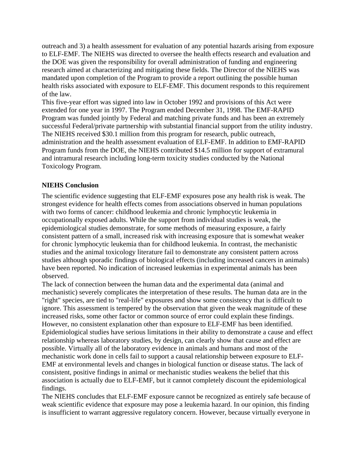outreach and 3) a health assessment for evaluation of any potential hazards arising from exposure to ELF-EMF. The NIEHS was directed to oversee the health effects research and evaluation and the DOE was given the responsibility for overall administration of funding and engineering research aimed at characterizing and mitigating these fields. The Director of the NIEHS was mandated upon completion of the Program to provide a report outlining the possible human health risks associated with exposure to ELF-EMF. This document responds to this requirement of the law.

This five-year effort was signed into law in October 1992 and provisions of this Act were extended for one year in 1997. The Program ended December 31, 1998. The EMF-RAPID Program was funded jointly by Federal and matching private funds and has been an extremely successful Federal/private partnership with substantial financial support from the utility industry. The NIEHS received \$30.1 million from this program for research, public outreach, administration and the health assessment evaluation of ELF-EMF. In addition to EMF-RAPID Program funds from the DOE, the NIEHS contributed \$14.5 million for support of extramural and intramural research including long-term toxicity studies conducted by the National Toxicology Program.

# **NIEHS Conclusion**

The scientific evidence suggesting that ELF-EMF exposures pose any health risk is weak. The strongest evidence for health effects comes from associations observed in human populations with two forms of cancer: childhood leukemia and chronic lymphocytic leukemia in occupationally exposed adults. While the support from individual studies is weak, the epidemiological studies demonstrate, for some methods of measuring exposure, a fairly consistent pattern of a small, increased risk with increasing exposure that is somewhat weaker for chronic lymphocytic leukemia than for childhood leukemia. In contrast, the mechanistic studies and the animal toxicology literature fail to demonstrate any consistent pattern across studies although sporadic findings of biological effects (including increased cancers in animals) have been reported. No indication of increased leukemias in experimental animals has been observed.

The lack of connection between the human data and the experimental data (animal and mechanistic) severely complicates the interpretation of these results. The human data are in the "right" species, are tied to "real-life" exposures and show some consistency that is difficult to ignore. This assessment is tempered by the observation that given the weak magnitude of these increased risks, some other factor or common source of error could explain these findings. However, no consistent explanation other than exposure to ELF-EMF has been identified. Epidemiological studies have serious limitations in their ability to demonstrate a cause and effect relationship whereas laboratory studies, by design, can clearly show that cause and effect are possible. Virtually all of the laboratory evidence in animals and humans and most of the mechanistic work done in cells fail to support a causal relationship between exposure to ELF-EMF at environmental levels and changes in biological function or disease status. The lack of consistent, positive findings in animal or mechanistic studies weakens the belief that this association is actually due to ELF-EMF, but it cannot completely discount the epidemiological findings.

The NIEHS concludes that ELF-EMF exposure cannot be recognized as entirely safe because of weak scientific evidence that exposure may pose a leukemia hazard. In our opinion, this finding is insufficient to warrant aggressive regulatory concern. However, because virtually everyone in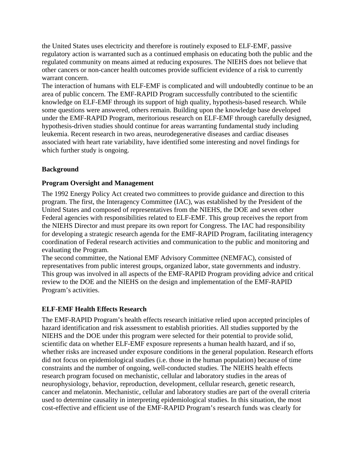the United States uses electricity and therefore is routinely exposed to ELF-EMF, passive regulatory action is warranted such as a continued emphasis on educating both the public and the regulated community on means aimed at reducing exposures. The NIEHS does not believe that other cancers or non-cancer health outcomes provide sufficient evidence of a risk to currently warrant concern.

The interaction of humans with ELF-EMF is complicated and will undoubtedly continue to be an area of public concern. The EMF-RAPID Program successfully contributed to the scientific knowledge on ELF-EMF through its support of high quality, hypothesis-based research. While some questions were answered, others remain. Building upon the knowledge base developed under the EMF-RAPID Program, meritorious research on ELF-EMF through carefully designed, hypothesis-driven studies should continue for areas warranting fundamental study including leukemia. Recent research in two areas, neurodegenerative diseases and cardiac diseases associated with heart rate variability, have identified some interesting and novel findings for which further study is ongoing.

# **Background**

### **Program Oversight and Management**

The 1992 Energy Policy Act created two committees to provide guidance and direction to this program. The first, the Interagency Committee (IAC), was established by the President of the United States and composed of representatives from the NIEHS, the DOE and seven other Federal agencies with responsibilities related to ELF-EMF. This group receives the report from the NIEHS Director and must prepare its own report for Congress. The IAC had responsibility for developing a strategic research agenda for the EMF-RAPID Program, facilitating interagency coordination of Federal research activities and communication to the public and monitoring and evaluating the Program.

The second committee, the National EMF Advisory Committee (NEMFAC), consisted of representatives from public interest groups, organized labor, state governments and industry. This group was involved in all aspects of the EMF-RAPID Program providing advice and critical review to the DOE and the NIEHS on the design and implementation of the EMF-RAPID Program's activities.

# **ELF-EMF Health Effects Research**

The EMF-RAPID Program's health effects research initiative relied upon accepted principles of hazard identification and risk assessment to establish priorities. All studies supported by the NIEHS and the DOE under this program were selected for their potential to provide solid, scientific data on whether ELF-EMF exposure represents a human health hazard, and if so, whether risks are increased under exposure conditions in the general population. Research efforts did not focus on epidemiological studies (i.e. those in the human population) because of time constraints and the number of ongoing, well-conducted studies. The NIEHS health effects research program focused on mechanistic, cellular and laboratory studies in the areas of neurophysiology, behavior, reproduction, development, cellular research, genetic research, cancer and melatonin. Mechanistic, cellular and laboratory studies are part of the overall criteria used to determine causality in interpreting epidemiological studies. In this situation, the most cost-effective and efficient use of the EMF-RAPID Program's research funds was clearly for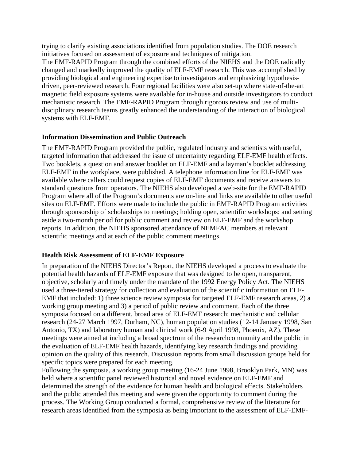trying to clarify existing associations identified from population studies. The DOE research initiatives focused on assessment of exposure and techniques of mitigation. The EMF-RAPID Program through the combined efforts of the NIEHS and the DOE radically changed and markedly improved the quality of ELF-EMF research. This was accomplished by providing biological and engineering expertise to investigators and emphasizing hypothesisdriven, peer-reviewed research. Four regional facilities were also set-up where state-of-the-art magnetic field exposure systems were available for in-house and outside investigators to conduct mechanistic research. The EMF-RAPID Program through rigorous review and use of multidisciplinary research teams greatly enhanced the understanding of the interaction of biological systems with ELF-EMF.

### **Information Dissemination and Public Outreach**

The EMF-RAPID Program provided the public, regulated industry and scientists with useful, targeted information that addressed the issue of uncertainty regarding ELF-EMF health effects. Two booklets, a question and answer booklet on ELF-EMF and a layman's booklet addressing ELF-EMF in the workplace, were published. A telephone information line for ELF-EMF was available where callers could request copies of ELF-EMF documents and receive answers to standard questions from operators. The NIEHS also developed a web-site for the EMF-RAPID Program where all of the Program's documents are on-line and links are available to other useful sites on ELF-EMF. Efforts were made to include the public in EMF-RAPID Program activities through sponsorship of scholarships to meetings; holding open, scientific workshops; and setting aside a two-month period for public comment and review on ELF-EMF and the workshop reports. In addition, the NIEHS sponsored attendance of NEMFAC members at relevant scientific meetings and at each of the public comment meetings.

# **Health Risk Assessment of ELF-EMF Exposure**

In preparation of the NIEHS Director's Report, the NIEHS developed a process to evaluate the potential health hazards of ELF-EMF exposure that was designed to be open, transparent, objective, scholarly and timely under the mandate of the 1992 Energy Policy Act. The NIEHS used a three-tiered strategy for collection and evaluation of the scientific information on ELF-EMF that included: 1) three science review symposia for targeted ELF-EMF research areas, 2) a working group meeting and 3) a period of public review and comment. Each of the three symposia focused on a different, broad area of ELF-EMF research: mechanistic and cellular research (24-27 March 1997, Durham, NC), human population studies (12-14 January 1998, San Antonio, TX) and laboratory human and clinical work (6-9 April 1998, Phoenix, AZ). These meetings were aimed at including a broad spectrum of the researchcommunity and the public in the evaluation of ELF-EMF health hazards, identifying key research findings and providing opinion on the quality of this research. Discussion reports from small discussion groups held for specific topics were prepared for each meeting.

Following the symposia, a working group meeting (16-24 June 1998, Brooklyn Park, MN) was held where a scientific panel reviewed historical and novel evidence on ELF-EMF and determined the strength of the evidence for human health and biological effects. Stakeholders and the public attended this meeting and were given the opportunity to comment during the process. The Working Group conducted a formal, comprehensive review of the literature for research areas identified from the symposia as being important to the assessment of ELF-EMF-